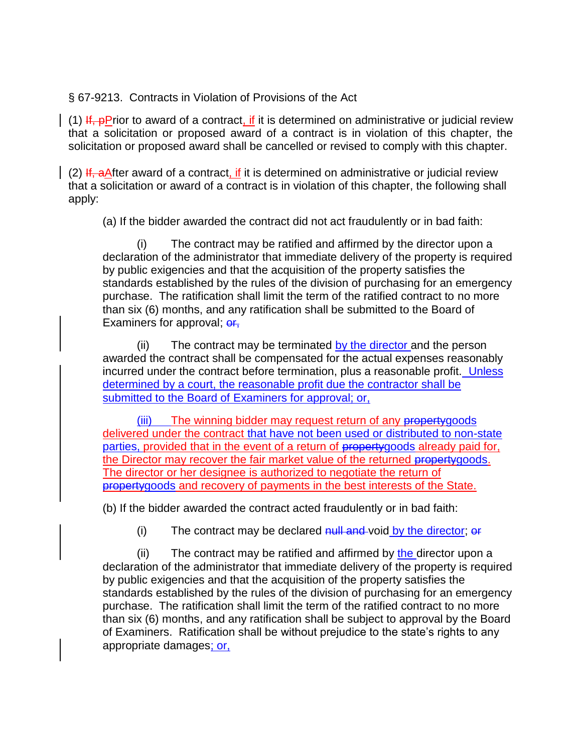## § 67-9213. Contracts in Violation of Provisions of the Act

(1) If, pPrior to award of a contract, if it is determined on administrative or judicial review that a solicitation or proposed award of a contract is in violation of this chapter, the solicitation or proposed award shall be cancelled or revised to comply with this chapter.

(2) If, a After award of a contract, if it is determined on administrative or judicial review that a solicitation or award of a contract is in violation of this chapter, the following shall apply:

(a) If the bidder awarded the contract did not act fraudulently or in bad faith:

(i) The contract may be ratified and affirmed by the director upon a declaration of the administrator that immediate delivery of the property is required by public exigencies and that the acquisition of the property satisfies the standards established by the rules of the division of purchasing for an emergency purchase. The ratification shall limit the term of the ratified contract to no more than six (6) months, and any ratification shall be submitted to the Board of Examiners for approval; or,

(ii) The contract may be terminated by the director and the person awarded the contract shall be compensated for the actual expenses reasonably incurred under the contract before termination, plus a reasonable profit. Unless determined by a court, the reasonable profit due the contractor shall be submitted to the Board of Examiners for approval; or,

(iii) The winning bidder may request return of any propertygoods delivered under the contract that have not been used or distributed to non-state parties, provided that in the event of a return of propertygoods already paid for, the Director may recover the fair market value of the returned property goods. The director or her designee is authorized to negotiate the return of propertygoods and recovery of payments in the best interests of the State.

(b) If the bidder awarded the contract acted fraudulently or in bad faith:

 $(i)$  The contract may be declared  $\frac{1}{n}$  and void by the director; or

(ii) The contract may be ratified and affirmed by the director upon a declaration of the administrator that immediate delivery of the property is required by public exigencies and that the acquisition of the property satisfies the standards established by the rules of the division of purchasing for an emergency purchase. The ratification shall limit the term of the ratified contract to no more than six (6) months, and any ratification shall be subject to approval by the Board of Examiners. Ratification shall be without prejudice to the state's rights to any appropriate damages; or,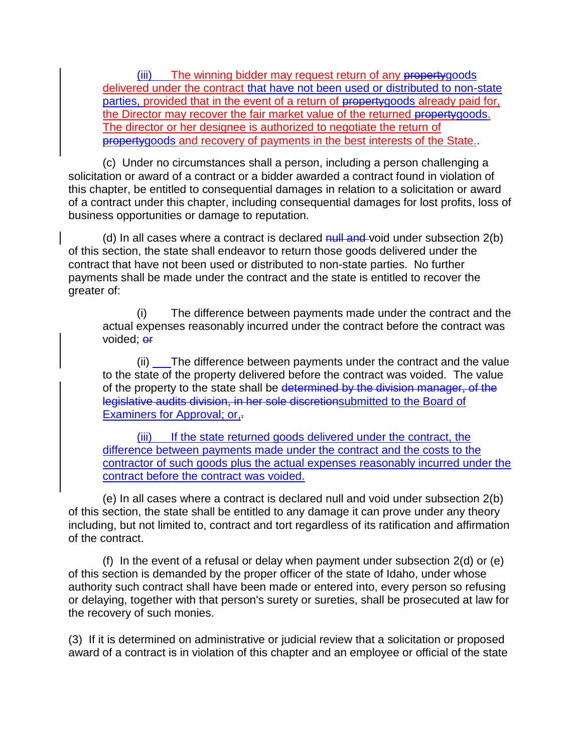(iii) The winning bidder may request return of any propertygoods delivered under the contract that have not been used or distributed to non-state parties, provided that in the event of a return of propertygoods already paid for, the Director may recover the fair market value of the returned property goods. The director or her designee is authorized to negotiate the return of propertygoods and recovery of payments in the best interests of the State.

(c) Under no circumstances shall a person, including a person challenging a solicitation or award of a contract or a bidder awarded a contract found in violation of this chapter, be entitled to consequential damages in relation to a solicitation or award of a contract under this chapter, including consequential damages for lost profits, loss of business opportunities or damage to reputation.

(d) In all cases where a contract is declared  $\frac{1}{n}$  and void under subsection  $2(b)$ of this section, the state shall endeavor to return those goods delivered under the contract that have not been used or distributed to non-state parties. No further payments shall be made under the contract and the state is entitled to recover the greater of:

(i) The difference between payments made under the contract and the actual expenses reasonably incurred under the contract before the contract was voided; or

(ii) The difference between payments under the contract and the value to the state of the property delivered before the contract was voided. The value of the property to the state shall be determined by the division manager, of the legislative audits division, in her sole discretionsubmitted to the Board of Examiners for Approval; or,-

(iii) If the state returned goods delivered under the contract, the difference between payments made under the contract and the costs to the contractor of such goods plus the actual expenses reasonably incurred under the contract before the contract was voided.

(e) In all cases where a contract is declared null and void under subsection 2(b) of this section, the state shall be entitled to any damage it can prove under any theory including, but not limited to, contract and tort regardless of its ratification and affirmation of the contract.

(f) In the event of a refusal or delay when payment under subsection 2(d) or (e) of this section is demanded by the proper officer of the state of Idaho, under whose authority such contract shall have been made or entered into, every person so refusing or delaying, together with that person's surety or sureties, shall be prosecuted at law for the recovery of such monies.

(3) If it is determined on administrative or judicial review that a solicitation or proposed award of a contract is in violation of this chapter and an employee or official of the state